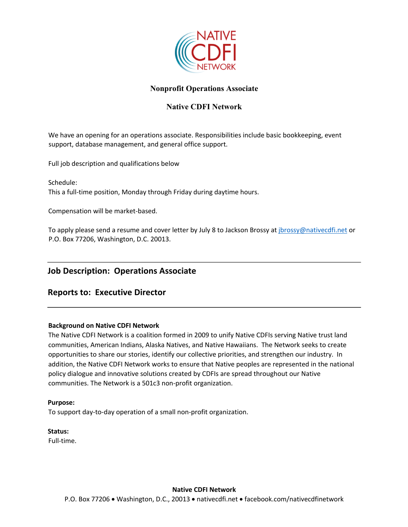

## **Nonprofit Operations Associate**

## **Native CDFI Network**

We have an opening for an operations associate. Responsibilities include basic bookkeeping, event support, database management, and general office support.

Full job description and qualifications below

Schedule: This a full-time position, Monday through Friday during daytime hours.

Compensation will be market-based.

To apply please send a resume and cover letter by July 8 to Jackson Brossy at *jbrossy@nativecdfi.net* or P.O. Box 77206, Washington, D.C. 20013.

# **Job Description: Operations Associate**

# **Reports to: Executive Director**

#### **Background on Native CDFI Network**

The Native CDFI Network is a coalition formed in 2009 to unify Native CDFIs serving Native trust land communities, American Indians, Alaska Natives, and Native Hawaiians. The Network seeks to create opportunities to share our stories, identify our collective priorities, and strengthen our industry. In addition, the Native CDFI Network works to ensure that Native peoples are represented in the national policy dialogue and innovative solutions created by CDFIs are spread throughout our Native communities. The Network is a 501c3 non-profit organization.

#### **Purpose:**

To support day-to-day operation of a small non-profit organization.

**Status:**  Full-time.